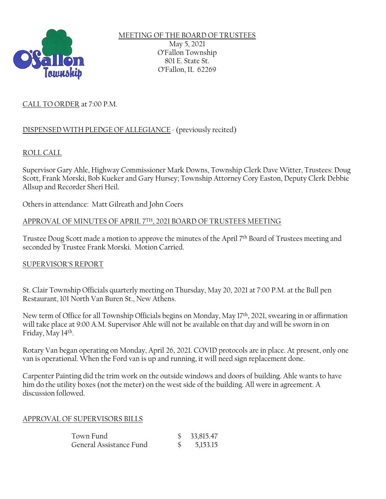

MEETING OF THE BOARD OF TRUSTEES May 5, 2021 O'Fallon Township 801 E. State St. O'Fallon, IL 62269

# CALL TO ORDER at 7:00 P.M.

# DISPENSEDWITH PLEDGE OF ALLEGIANCE -(previously recited)

## ROLL CALL

Supervisor Gary Ahle, Highway Commissioner Mark Downs, Township Clerk Dave Witter, Trustees: Doug Scott, Frank Morski, Bob Kueker and Gary Hursey; Township Attorney Cory Easton, Deputy Clerk Debbie Allsup and Recorder Sheri Heil.

Others in attendance: Matt Gilreath and John Coers

#### APPROVAL OF MINUTES OF APRIL 7 TH, 2021 BOARD OF TRUSTEES MEETING

Trustee Doug Scott made a motion to approve the minutes of the April 7<sup>th</sup> Board of Trustees meeting and seconded by Trustee Frank Morski. Motion Carried.

#### SUPERVISOR'S REPORT

St. Clair Township Officials quarterly meeting on Thursday, May 20, 2021 at 7:00 P.M. at the Bull pen Restaurant, 101 North Van Buren St., New Athens.

New term of Office for all Township Officials begins on Monday, May 17th, 2021, swearing in or affirmation will take place at 9:00 A.M. Supervisor Ahle will not be available on that day and will be sworn in on Friday, May 14th .

Rotary Van began operating on Monday, April 26, 2021. COVID protocols are in place. At present, only one van is operational. When the Ford van is up and running, it will need sign replacement done.

Carpenter Painting did the trim work on the outside windows and doors of building. Ahle wants to have him do the utility boxes (not the meter) on the west side of the building. All were in agreement. A discussion followed.

#### APPROVAL OF SUPERVISORS BILLS

| Town Fund               | 33,815.47 |
|-------------------------|-----------|
| General Assistance Fund | 5,153.15  |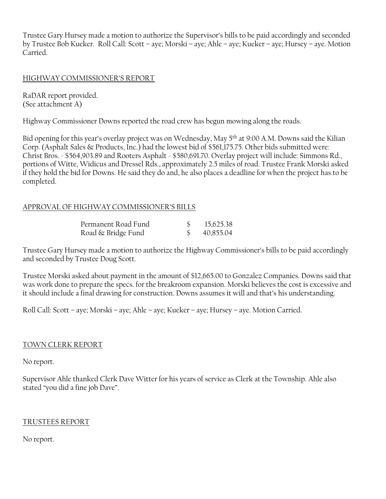Trustee Gary Hursey made a motion to authorize the Supervisor's bills to be paid accordingly and seconded by Trustee Bob Kueker. Roll Call: Scott – aye; Morski – aye; Ahle – aye; Kueker – aye; Hursey – aye. Motion Carried.

# HIGHWAY COMMISSIONER'S REPORT

RaDAR report provided. (See attachment A)

Highway Commissioner Downs reported the road crew has begun mowing along the roads.

Bid opening for this year's overlay project was on Wednesday, May 5th at 9:00 A.M. Downs said the Kilian Corp. (Asphalt Sales & Products, Inc.) had the lowest bid of \$561,175.75. Other bids submitted were: Christ Bros. - \$564,903.89 and Rooters Asphalt - \$580,691.70. Overlay project will include: Simmons Rd., portions of Witte, Widicus and Dressel Rds., approximately 2.5 miles of road. Trustee Frank Morski asked if they hold the bid for Downs. He said they do and, he also places a deadline for when the project has to be completed.

# APPROVAL OF HIGHWAY COMMISSIONER'S BILLS

| Permanent Road Fund | 15,625.38 |
|---------------------|-----------|
| Road & Bridge Fund  | 40,855.04 |

Trustee Gary Hursey made a motion to authorize the Highway Commissioner's bills to be paid accordingly and seconded by Trustee Doug Scott.

Trustee Morski asked about payment in the amount of \$12,665.00 to Gonzalez Companies. Downs said that was work done to prepare the specs. for the breakroom expansion. Morski believes the cost is excessive and it should include a final drawing for construction. Downs assumes it will and that's his understanding.

Roll Call: Scott – aye; Morski – aye; Ahle – aye; Kueker – aye; Hursey – aye. Motion Carried.

## TOWN CLERK REPORT

No report.

Supervisor Ahle thanked Clerk Dave Witter for his years of service as Clerk at the Township. Ahle also stated "you did a fine job Dave".

## TRUSTEES REPORT

No report.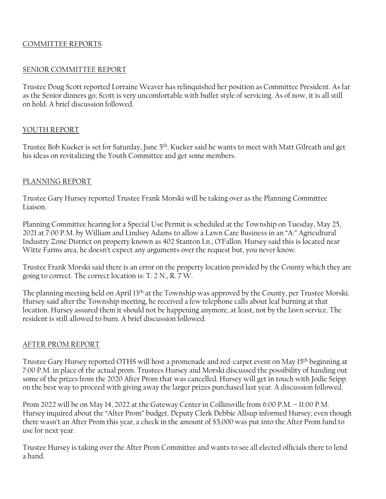# COMMITTEE REPORTS

#### SENIOR COMMITTEE REPORT

Trustee Doug Scott reported Lorraine Weaver has relinquished her position as Committee President. As far as the Senior dinners go; Scott is very uncomfortable with buffet style of servicing. As of now, it is all still on hold. A brief discussion followed.

## YOUTH REPORT

Trustee Bob Kueker is set for Saturday, June 5th. Kueker said he wants to meet with Matt Gilreath and get his ideas on revitalizing the Youth Committee and get some members.

#### PLANNING REPORT

Trustee Gary Hursey reported Trustee Frank Morski will be taking over as the Planning Committee Liaison.

Planning Committee hearing for a Special Use Permit is scheduled at the Township on Tuesday, May 25, 2021 at 7:00 P.M. by William and Lindsey Adams to allow a Lawn Care Business in an "A:" Agricultural Industry Zone District on property known as 402 Stanton Ln., O'Fallon. Hursey said this is located near Witte Farms area, he doesn't expect any arguments over the request but, you never know.

Trustee Frank Morski said there is an error on the property location provided by the County which they are going to correct. The correct location is: T. 2 N., R. 7 W.

The planning meeting held on April 13th at the Township was approved by the County, per Trustee Morski. Hursey said after the Township meeting, he received a few telephone calls about leaf burning at that location. Hursey assured them it should not be happening anymore, at least, not by the lawn service. The resident is still allowed to burn. A brief discussion followed.

## AFTER PROM REPORT

Trustee Gary Hursey reported OTHS will host a promenade and red-carpet event on May 15th beginning at 7:00 P.M. in place of the actual prom. Trustees Hursey and Morski discussed the possibility of handing out some of the prizes from the 2020 After Prom that was cancelled. Hursey will get in touch with Jodie Seipp on the best way to proceed with giving away the larger prizes purchased last year. A discussion followed.

Prom 2022 will be on May 14, 2022 at the Gateway Center in Collinsville from 6:00 P.M. – 11:00 P.M. Hursey inquired about the "After Prom" budget. Deputy Clerk Debbie Allsup informed Hursey; even though there wasn't an After Prom this year, a check in the amount of \$5,000 was put into the After Prom fund to use for next year.

Trustee Hursey is taking over the After Prom Committee and wants to see all elected officials there to lend a hand.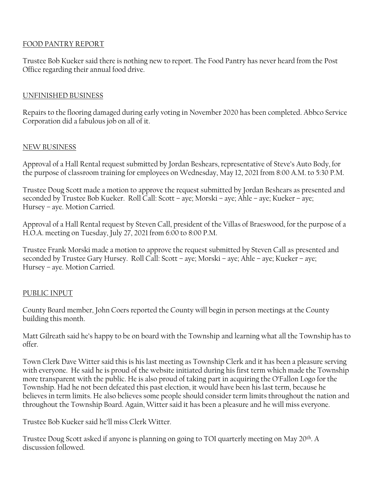# FOOD PANTRY REPORT

Trustee Bob Kueker said there is nothing new to report. The Food Pantry has never heard from the Post Office regarding their annual food drive.

# UNFINISHED BUSINESS

Repairs to the flooring damaged during early voting in November 2020 has been completed. Abbco Service Corporation did a fabulous job on all of it.

## NEW BUSINESS

Approval of a Hall Rental request submitted by Jordan Beshears, representative of Steve's Auto Body, for the purpose of classroom training for employees on Wednesday, May 12, 2021 from 8:00 A.M. to 5:30 P.M.

Trustee Doug Scott made a motion to approve the request submitted by Jordan Beshears as presented and seconded by Trustee Bob Kueker. Roll Call: Scott – aye; Morski – aye; Ahle – aye; Kueker – aye; Hursey – aye. Motion Carried.

Approval of a Hall Rental request by Steven Call, president of the Villas of Braeswood, for the purpose of a H.O.A. meeting on Tuesday, July 27, 2021 from 6:00 to 8:00 P.M.

Trustee Frank Morski made a motion to approve the request submitted by Steven Call as presented and seconded by Trustee Gary Hursey. Roll Call: Scott – aye; Morski – aye; Ahle – aye; Kueker – aye; Hursey – aye. Motion Carried.

## PUBLIC INPUT

County Board member, John Coers reported the County will begin in person meetings at the County building this month.

Matt Gilreath said he's happy to be on board with the Township and learning what all the Township has to offer.

Town Clerk Dave Witter said this is his last meeting as Township Clerk and it has been a pleasure serving with everyone. He said he is proud of the website initiated during his first term which made the Township more transparent with the public. He is also proud of taking part in acquiring the O'Fallon Logo for the Township. Had he not been defeated this past election, it would have been his last term, because he believes in term limits. He also believes some people should consider term limits throughout the nation and throughout the Township Board. Again, Witter said it has been a pleasure and he will miss everyone.

Trustee Bob Kueker said he'll miss Clerk Witter.

Trustee Doug Scott asked if anyone is planning on going to TOI quarterly meeting on May 20th. A discussion followed.